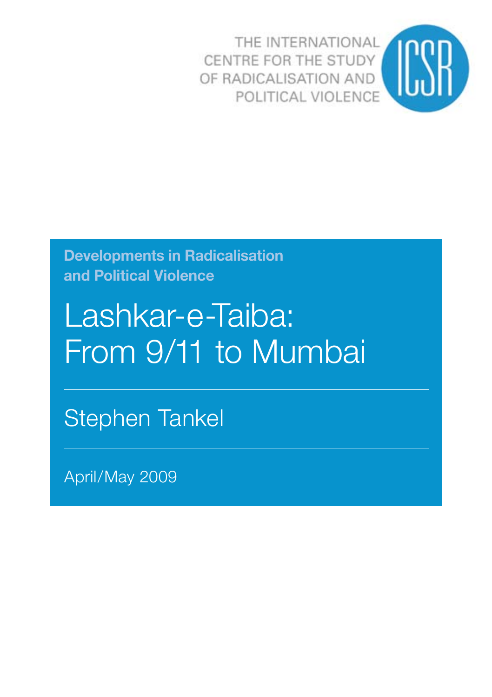THE INTERNATIONAL CENTRE FOR THE STUDY OF RADICALISATION AND POLITICAL VIOLENCE



**Developments in Radicalisation and Political Violence**

# Lashkar-e-Taiba: From 9/11 to Mumbai

Stephen Tankel

April/May 2009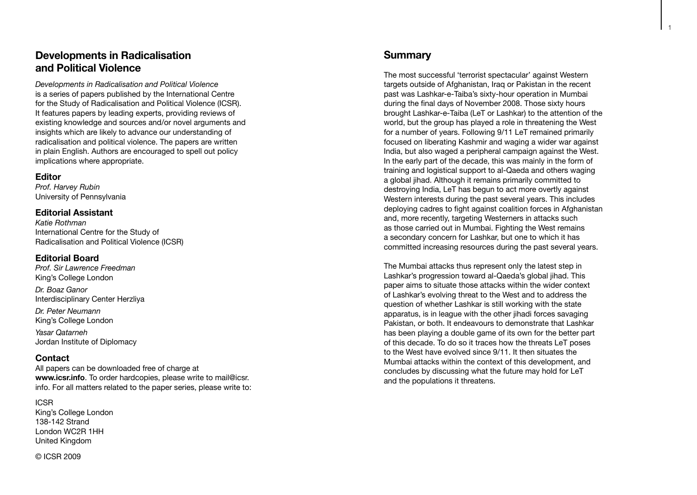## **Developments in Radicalisation and Political Violence**

*Developments in Radicalisation and Political Violence* is a series of papers published by the International Centre for the Study of Radicalisation and Political Violence (ICSR). It features papers by leading experts, providing reviews of existing knowledge and sources and/or novel arguments and insights which are likely to advance our understanding of radicalisation and political violence. The papers are written in plain English. Authors are encouraged to spell out policy implications where appropriate.

#### **Editor**

*Prof. Harvey Rubin* University of Pennsylvania

#### **Editorial Assistant**

*Katie Rothman* International Centre for the Study of Radicalisation and Political Violence (ICSR)

#### **Editorial Board**

*Prof. Sir Lawrence Freedman* King's College London

*Dr. Boaz Ganor* Interdisciplinary Center Herzliya

*Dr. Peter Neumann* King's College London *Yasar Qatarneh* Jordan Institute of Diplomacy

#### **Contact**

All papers can be downloaded free of charge at **www.icsr.info**. To order hardcopies, please write to mail@icsr. info. For all matters related to the paper series, please write to:

ICSR King's College London 138-142 Strand London WC2R 1HH United Kingdom

### **Summary**

The most successful 'terrorist spectacular' against Western targets outside of Afghanistan, Iraq or Pakistan in the recent past was Lashkar-e-Taiba's sixty-hour operation in Mumbai during the final days of November 2008. Those sixty hours brought Lashkar-e-Taiba (LeT or Lashkar) to the attention of the world, but the group has played a role in threatening the West for a number of years. Following 9/11 LeT remained primarily focused on liberating Kashmir and waging a wider war against India, but also waged a peripheral campaign against the West. In the early part of the decade, this was mainly in the form of training and logistical support to al-Qaeda and others waging a global jihad. Although it remains primarily committed to destroying India, LeT has begun to act more overtly against Western interests during the past several years. This includes deploying cadres to fight against coalition forces in Afghanistan and, more recently, targeting Westerners in attacks such as those carried out in Mumbai. Fighting the West remains a secondary concern for Lashkar, but one to which it has committed increasing resources during the past several years.

The Mumbai attacks thus represent only the latest step in Lashkar's progression toward al-Qaeda's global jihad. This paper aims to situate those attacks within the wider context of Lashkar's evolving threat to the West and to address the question of whether Lashkar is still working with the state apparatus, is in league with the other jihadi forces savaging Pakistan, or both. It endeavours to demonstrate that Lashkar has been playing a double game of its own for the better part of this decade. To do so it traces how the threats LeT poses to the West have evolved since 9/11. It then situates the Mumbai attacks within the context of this development, and concludes by discussing what the future may hold for LeT and the populations it threatens.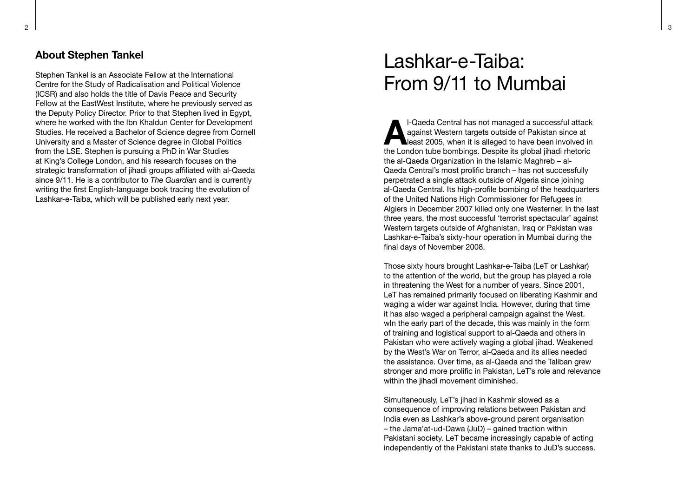### **About Stephen Tankel**

Stephen Tankel is an Associate Fellow at the International Centre for the Study of Radicalisation and Political Violence (ICSR) and also holds the title of Davis Peace and Security Fellow at the EastWest Institute, where he previously served as the Deputy Policy Director. Prior to that Stephen lived in Egypt, where he worked with the Ibn Khaldun Center for Development Studies. He received a Bachelor of Science degree from Cornell University and a Master of Science degree in Global Politics from the LSE. Stephen is pursuing a PhD in War Studies at King's College London, and his research focuses on the strategic transformation of jihadi groups affiliated with al-Qaeda since 9/11. He is a contributor to *The Guardian* and is currently writing the first English-language book tracing the evolution of Lashkar-e-Taiba, which will be published early next year.

# Lashkar-e-Taiba: From 9/11 to Mumbai

**Al-Qaeda Central has not managed a successful attack**<br> **Algainst Western targets outside of Pakistan since at<br>
the London tube bombings. Depaits its algabel iibedi shaterial** against Western targets outside of Pakistan since at the London tube bombings. Despite its global jihadi rhetoric the al-Qaeda Organization in the Islamic Maghreb – al-Qaeda Central's most prolific branch – has not successfully perpetrated a single attack outside of Algeria since joining al-Qaeda Central. Its high-profile bombing of the headquarters of the United Nations High Commissioner for Refugees in Algiers in December 2007 killed only one Westerner. In the last three years, the most successful 'terrorist spectacular' against Western targets outside of Afghanistan, Iraq or Pakistan was Lashkar-e-Taiba's sixty-hour operation in Mumbai during the final days of November 2008.

Those sixty hours brought Lashkar-e-Taiba (LeT or Lashkar) to the attention of the world, but the group has played a role in threatening the West for a number of years. Since 2001, LeT has remained primarily focused on liberating Kashmir and waging a wider war against India. However, during that time it has also waged a peripheral campaign against the West. win the early part of the decade, this was mainly in the form of training and logistical support to al-Qaeda and others in Pakistan who were actively waging a global jihad. Weakened by the West's War on Terror, al-Qaeda and its allies needed the assistance. Over time, as al-Qaeda and the Taliban grew stronger and more prolific in Pakistan, LeT's role and relevance within the jihadi movement diminished.

Simultaneously, LeT's jihad in Kashmir slowed as a consequence of improving relations between Pakistan and India even as Lashkar's above-ground parent organisation – the Jama'at-ud-Dawa (JuD) – gained traction within Pakistani society. LeT became increasingly capable of acting independently of the Pakistani state thanks to JuD's success.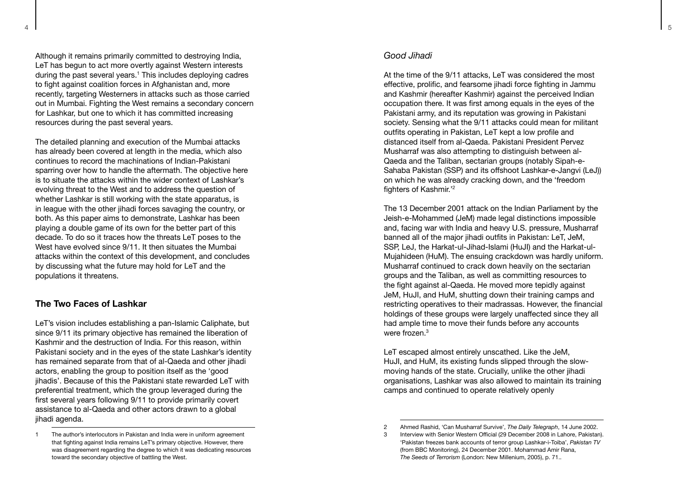Although it remains primarily committed to destroying India, LeT has begun to act more overtly against Western interests during the past several years. 1 This includes deploying cadres to fight against coalition forces in Afghanistan and, more recently, targeting Westerners in attacks such as those carried out in Mumbai. Fighting the West remains a secondary concern for Lashkar, but one to which it has committed increasing resources during the past several years.

The detailed planning and execution of the Mumbai attacks has already been covered at length in the media, which also continues to record the machinations of Indian-Pakistani sparring over how to handle the aftermath. The objective here is to situate the attacks within the wider context of Lashkar's evolving threat to the West and to address the question of whether Lashkar is still working with the state apparatus, is in league with the other jihadi forces savaging the country, or both. As this paper aims to demonstrate, Lashkar has been playing a double game of its own for the better part of this decade. To do so it traces how the threats LeT poses to the West have evolved since 9/11. It then situates the Mumbai attacks within the context of this development, and concludes by discussing what the future may hold for LeT and the populations it threatens.

#### **The Two Faces of Lashkar**

LeT's vision includes establishing a pan-Islamic Caliphate, but since 9/11 its primary objective has remained the liberation of Kashmir and the destruction of India. For this reason, within Pakistani society and in the eyes of the state Lashkar's identity has remained separate from that of al-Qaeda and other jihadi actors, enabling the group to position itself as the 'good iihadis'. Because of this the Pakistani state rewarded LeT with preferential treatment, which the group leveraged during the first several years following 9/11 to provide primarily covert assistance to al-Qaeda and other actors drawn to a global jihadi agenda.

#### *Good Jihadi*

At the time of the 9/11 attacks, LeT was considered the most effective, prolific, and fearsome jihadi force fighting in Jammu and Kashmir (hereafter Kashmir) against the perceived Indian occupation there. It was first among equals in the eyes of the Pakistani army, and its reputation was growing in Pakistani society. Sensing what the 9/11 attacks could mean for militant outfits operating in Pakistan, LeT kept a low profile and distanced itself from al-Qaeda. Pakistani President Pervez Musharraf was also attempting to distinguish between al-Qaeda and the Taliban, sectarian groups (notably Sipah-e-Sahaba Pakistan (SSP) and its offshoot Lashkar-e-Jangvi (LeJ)) on which he was already cracking down, and the 'freedom fighters of Kashmir.' 2

The 13 December 2001 attack on the Indian Parliament by the Jeish-e-Mohammed (JeM) made legal distinctions impossible and, facing war with India and heavy U.S. pressure, Musharraf banned all of the major jihadi outfits in Pakistan: LeT, JeM, SSP, LeJ, the Harkat-ul-Jihad-Islami (HuJI) and the Harkat-ul-Mujahideen (HuM). The ensuing crackdown was hardly uniform. Musharraf continued to crack down heavily on the sectarian groups and the Taliban, as well as committing resources to the fight against al-Qaeda. He moved more tepidly against JeM, HuJI, and HuM, shutting down their training camps and restricting operatives to their madrassas. However, the financial holdings of these groups were largely unaffected since they all had ample time to move their funds before any accounts were frozen.<sup>3</sup>

LeT escaped almost entirely unscathed. Like the JeM, HuJI, and HuM, its existing funds slipped through the slowmoving hands of the state. Crucially, unlike the other jihadi organisations, Lashkar was also allowed to maintain its training camps and continued to operate relatively openly<br>2 Ahmed Rashid, 'Can Musharraf Survive', *The Daily Telegraph*, 14 June 2002.

<sup>1</sup> The author's interlocutors in Pakistan and India were in uniform agreement that fighting against India remains LeT's primary objective. However, there was disagreement regarding the degree to which it was dedicating resources toward the secondary objective of battling the West.

Interview with Senior Western Official (29 December 2008 in Lahore, Pakistan). 'Pakistan freezes bank accounts of terror group Lashkar-i-Toiba', *Pakistan TV* (from BBC Monitoring), 24 December 2001. Mohammad Amir Rana, *The Seeds of Terrorism* (London: New Millenium, 2005), p. 71..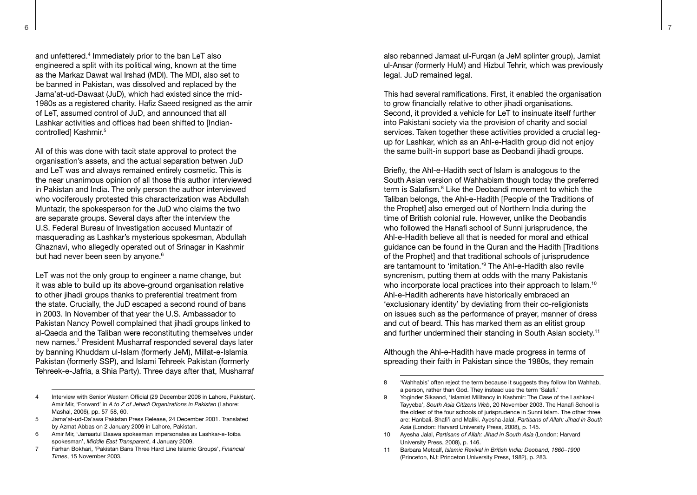and unfettered. 4 Immediately prior to the ban LeT also engineered a split with its political wing, known at the time as the Markaz Dawat wal Irshad (MDI). The MDI, also set to be banned in Pakistan, was dissolved and replaced by the Jama'at-ud-Dawaat (JuD), which had existed since the mid-1980s as a registered charity. Hafiz Saeed resigned as the amir of LeT, assumed control of JuD, and announced that all Lashkar activities and offices had been shifted to [Indiancontrolled] Kashmir.<sup>5</sup>

All of this was done with tacit state approval to protect the organisation's assets, and the actual separation betwen JuD and LeT was and always remained entirely cosmetic. This is the near unanimous opinion of all those this author interviewed in Pakistan and India. The only person the author interviewed who vociferously protested this characterization was Abdullah Muntazir, the spokesperson for the JuD who claims the two are separate groups. Several days after the interview the U.S. Federal Bureau of Investigation accused Muntazir of masquerading as Lashkar's mysterious spokesman, Abdullah Ghaznavi, who allegedly operated out of Srinagar in Kashmir but had never been seen by anyone. 6

LeT was not the only group to engineer a name change, but it was able to build up its above-ground organisation relative to other jihadi groups thanks to preferential treatment from the state. Crucially, the JuD escaped a second round of bans in 2003. In November of that year the U.S. Ambassador to Pakistan Nancy Powell complained that jihadi groups linked to al-Qaeda and the Taliban were reconstituting themselves under new names. 7 President Musharraf responded several days later by banning Khuddam ul-Islam (formerly JeM), Millat-e-Islamia Pakistan (formerly SSP), and Islami Tehreek Pakistan (formerly Tehreek-e-Jafria, a Shia Party). Three days after that, Musharraf

- 5 Jama'at-ud-Da'awa Pakistan Press Release, 24 December 2001. Translated by Azmat Abbas on 2 January 2009 in Lahore, Pakistan.
- 6 Amir Mir, 'Jamaatul Daawa spokesman impersonates as Lashkar-e-Toiba spokesman', *Middle East Transparent*, 4 January 2009.
- 7 Farhan Bokhari, 'Pakistan Bans Three Hard Line Islamic Groups', *Financial Times*, 15 November 2003.

also rebanned Jamaat ul-Furqan (a JeM splinter group), Jamiat ul-Ansar (formerly HuM) and Hizbul Tehrir, which was previously legal. JuD remained legal.

This had several ramifications. First, it enabled the organisation to grow financially relative to other jihadi organisations. Second, it provided a vehicle for LeT to insinuate itself further into Pakistani society via the provision of charity and social services. Taken together these activities provided a crucial legup for Lashkar, which as an Ahl-e-Hadith group did not enjoy the same built-in support base as Deobandi jihadi groups.

Briefly, the Ahl-e-Hadith sect of Islam is analogous to the South Asian version of Wahhabism though today the preferred term is Salafism.<sup>8</sup> Like the Deobandi movement to which the Taliban belongs, the Ahl-e-Hadith [People of the Traditions of the Prophetl also emerged out of Northern India during the time of British colonial rule. However, unlike the Deobandis who followed the Hanafi school of Sunni jurisprudence, the Ahl-e-Hadith believe all that is needed for moral and ethical guidance can be found in the Quran and the Hadith [Traditions of the Prophet] and that traditional schools of jurisprudence are tantamount to 'imitation.' 9 The Ahl-e-Hadith also revile syncrenism, putting them at odds with the many Pakistanis who incorporate local practices into their approach to Islam.<sup>10</sup> Ahl-e-Hadith adherents have historically embraced an 'exclusionary identity' by deviating from their co-religionists on issues such as the performance of prayer, manner of dress and cut of beard. This has marked them as an elitist group and further undermined their standing in South Asian society.<sup>11</sup>

Although the Ahl-e-Hadith have made progress in terms of spreading their faith in Pakistan since the 1980s, they remain<br>
8 'Wahhabis' often reject the term because it suggests they follow Ibn Wahhab.

- 10 Ayesha Jalal, *Partisans of Allah: Jihad in South Asia* (London: Harvard University Press, 2008), p. 146.
- 11 Barbara Metcalf, *Islamic Revival in British India: Deoband, 1860–1900* (Princeton, NJ: Princeton University Press, 1982), p. 283.

<sup>4</sup> Interview with Senior Western Official (29 December 2008 in Lahore, Pakistan). Amir Mir, 'Forward' in *A to Z of Jehadi Organizations in Pakistan* (Lahore: Mashal, 2006), pp. 57-58, 60.

a person, rather than God. They instead use the term 'Salafi.'

<sup>9</sup> Yoginder Sikaand, 'Islamist Militancy in Kashmir: The Case of the Lashkar-i Tayyeba', *South Asia Citizens Web*, 20 November 2003. The Hanafi School is the oldest of the four schools of jurisprudence in Sunni Islam. The other three are: Hanbali, Shafi'i and Maliki. Ayesha Jalal, *Partisans of Allah: Jihad in South Asia* (London: Harvard University Press, 2008), p. 145.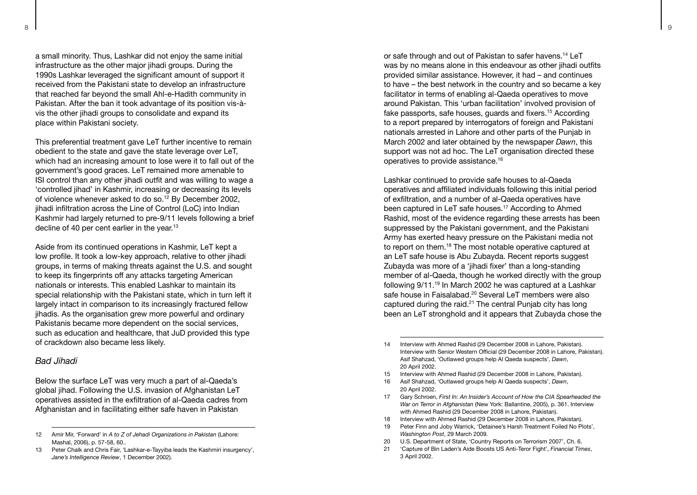a small minority. Thus, Lashkar did not enjoy the same initial infrastructure as the other major jihadi groups. During the 1990s Lashkar leveraged the significant amount of support it received from the Pakistani state to develop an infrastructure that reached far beyond the small Ahl-e-Hadith community in Pakistan. After the ban it took advantage of its position vis-àvis the other jihadi groups to consolidate and expand its place within Pakistani society.

This preferential treatment gave LeT further incentive to remain obedient to the state and gave the state leverage over LeT, which had an increasing amount to lose were it to fall out of the government's good graces. LeT remained more amenable to ISI control than any other jihadi outfit and was willing to wage a 'controlled jihad' in Kashmir, increasing or decreasing its levels of violence whenever asked to do so.12 By December 2002, iihadi infiltration across the Line of Control (LoC) into Indian Kashmir had largely returned to pre-9/11 levels following a brief decline of 40 per cent earlier in the year.<sup>13</sup>

Aside from its continued operations in Kashmir, LeT kept a low profile. It took a low-key approach, relative to other jihadi groups, in terms of making threats against the U.S. and sought to keep its fingerprints off any attacks targeting American nationals or interests. This enabled Lashkar to maintain its special relationship with the Pakistani state, which in turn left it largely intact in comparison to its increasingly fractured fellow jihadis. As the organisation grew more powerful and ordinary Pakistanis became more dependent on the social services, such as education and healthcare, that JuD provided this type of crackdown also became less likely.

#### *Bad Jihadi*

Below the surface LeT was very much a part of al-Qaeda's global jihad. Following the U.S. invasion of Afghanistan LeT operatives assisted in the exfiltration of al-Qaeda cadres from Afghanistan and in facilitating either safe haven in Pakistan

or safe through and out of Pakistan to safer havens.<sup>14</sup> LeT was by no means alone in this endeavour as other jihadi outfits provided similar assistance. However, it had – and continues to have – the best network in the country and so became a key facilitator in terms of enabling al-Qaeda operatives to move around Pakistan. This 'urban facilitation' involved provision of fake passports, safe houses, quards and fixers.<sup>15</sup> According to a report prepared by interrogators of foreign and Pakistani nationals arrested in Lahore and other parts of the Punjab in March 2002 and later obtained by the newspaper *Dawn*, this support was not ad hoc. The LeT organisation directed these operatives to provide assistance.16

Lashkar continued to provide safe houses to al-Qaeda operatives and affiliated individuals following this initial period of exfiltration, and a number of al-Qaeda operatives have been captured in LeT safe houses.17 According to Ahmed Rashid, most of the evidence regarding these arrests has been suppressed by the Pakistani government, and the Pakistani Army has exerted heavy pressure on the Pakistani media not to report on them.18 The most notable operative captured at an LeT safe house is Abu Zubayda. Recent reports suggest Zubayda was more of a 'jihadi fixer' than a long-standing member of al-Qaeda, though he worked directly with the group following 9/11.19 In March 2002 he was captured at a Lashkar safe house in Faisalabad.<sup>20</sup> Several LeT members were also captured during the raid.<sup>21</sup> The central Punjab city has long been an LeT stronghold and it appears that Zubayda chose the

- 15 Interview with Ahmed Rashid (29 December 2008 in Lahore, Pakistan).
- 16 Asif Shahzad, 'Outlawed groups help Al Qaeda suspects', *Dawn*, 20 April 2002.
- 17 Gary Schroen, *First In: An Insider's Account of How the CIA Spearheaded the War on Terror in Afghanistan* (New York: Ballantine, 2005), p. 361. Interview with Ahmed Rashid (29 December 2008 in Lahore, Pakistan).
- 18 Interview with Ahmed Rashid (29 December 2008 in Lahore, Pakistan).
- 19 Peter Finn and Joby Warrick, 'Detainee's Harsh Treatment Foiled No Plots', *Washington Post*, 29 March 2009.
- 20 U.S. Department of State, 'Country Reports on Terrorism 2007', Ch. 6.
- 21 'Capture of Bin Laden's Aide Boosts US Anti-Teror Fight', *Financial Times*, 3 April 2002.

<sup>12</sup> Amir Mir, 'Forward' in *A to Z of Jehadi Organizations in Pakistan* (Lahore: Mashal, 2006), p. 57-58, 60..

<sup>13</sup> Peter Chalk and Chris Fair, 'Lashkar-e-Tayyiba leads the Kashmiri insurgency', *Jane's Intelligence Review*, 1 December 2002).

<sup>14</sup> Interview with Ahmed Rashid (29 December 2008 in Lahore, Pakistan). Interview with Senior Western Official (29 December 2008 in Lahore, Pakistan). Asif Shahzad, 'Outlawed groups help Al Qaeda suspects', *Dawn*, 20 April 2002.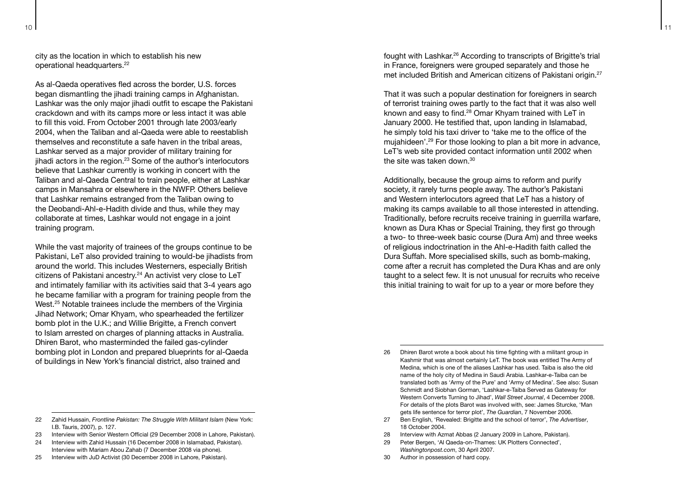city as the location in which to establish his new operational headquarters.<sup>22</sup>

As al-Qaeda operatives fled across the border, U.S. forces began dismantling the jihadi training camps in Afghanistan. Lashkar was the only major jihadi outfit to escape the Pakistani crackdown and with its camps more or less intact it was able to fill this void. From October 2001 through late 2003/early 2004, when the Taliban and al-Qaeda were able to reestablish themselves and reconstitute a safe haven in the tribal areas, Lashkar served as a major provider of military training for jihadi actors in the region.<sup>23</sup> Some of the author's interlocutors believe that Lashkar currently is working in concert with the Taliban and al-Qaeda Central to train people, either at Lashkar camps in Mansahra or elsewhere in the NWFP. Others believe that Lashkar remains estranged from the Taliban owing to the Deobandi-Ahl-e-Hadith divide and thus, while they may collaborate at times, Lashkar would not engage in a joint training program.

While the vast majority of trainees of the groups continue to be Pakistani, LeT also provided training to would-be jihadists from around the world. This includes Westerners, especially British citizens of Pakistani ancestry.24 An activist very close to LeT and intimately familiar with its activities said that 3-4 years ago he became familiar with a program for training people from the West.<sup>25</sup> Notable trainees include the members of the Virginia Jihad Network; Omar Khyam, who spearheaded the fertilizer bomb plot in the U.K.; and Willie Brigitte, a French convert to Islam arrested on charges of planning attacks in Australia. Dhiren Barot, who masterminded the failed gas-cylinder bombing plot in London and prepared blueprints for al-Qaeda of buildings in New York's financial district, also trained and

- 23 Interview with Senior Western Official (29 December 2008 in Lahore, Pakistan).
- 24 Interview with Zahid Hussain (16 December 2008 in Islamabad, Pakistan). Interview with Mariam Abou Zahab (7 December 2008 via phone).
- 25 Interview with JuD Activist (30 December 2008 in Lahore, Pakistan).

fought with Lashkar.26 According to transcripts of Brigitte's trial in France, foreigners were grouped separately and those he met included British and American citizens of Pakistani origin.27

That it was such a popular destination for foreigners in search of terrorist training owes partly to the fact that it was also well known and easy to find.28 Omar Khyam trained with LeT in January 2000. He testified that, upon landing in Islamabad, he simply told his taxi driver to 'take me to the office of the mujahideen'.29 For those looking to plan a bit more in advance, LeT's web site provided contact information until 2002 when the site was taken down  $30$ 

Additionally, because the group aims to reform and purify society, it rarely turns people away. The author's Pakistani and Western interlocutors agreed that LeT has a history of making its camps available to all those interested in attending. Traditionally, before recruits receive training in guerrilla warfare, known as Dura Khas or Special Training, they first go through a two- to three-week basic course (Dura Am) and three weeks of religious indoctrination in the Ahl-e-Hadith faith called the Dura Suffah. More specialised skills, such as bomb-making, come after a recruit has completed the Dura Khas and are only taught to a select few. It is not unusual for recruits who receive this initial training to wait for up to a year or more before they

- 27 Ben English, 'Revealed: Brigitte and the school of terror', *The Advertiser*, 18 October 2004.
- 28 Interview with Azmat Abbas (2 January 2009 in Lahore, Pakistan).
- 29 Peter Bergen, 'Al Qaeda-on-Thames: UK Plotters Connected', *Washingtonpost.com*, 30 April 2007.
- 30 Author in possession of hard copy.

<sup>22</sup> Zahid Hussain, *Frontline Pakistan: The Struggle With Militant Islam* (New York: I.B. Tauris, 2007), p. 127.

<sup>26</sup> Dhiren Barot wrote a book about his time fighting with a militant group in Kashmir that was almost certainly LeT. The book was entitled The Army of Medina, which is one of the aliases Lashkar has used. Taiba is also the old name of the holy city of Medina in Saudi Arabia. Lashkar-e-Taiba can be translated both as 'Army of the Pure' and 'Army of Medina'. See also: Susan Schmidt and Siobhan Gorman, 'Lashkar-e-Taiba Served as Gateway for Western Converts Turning to Jihad', *Wall Street Journal*, 4 December 2008. For details of the plots Barot was involved with, see: James Sturcke, 'Man gets life sentence for terror plot', *The Guardian*, 7 November 2006.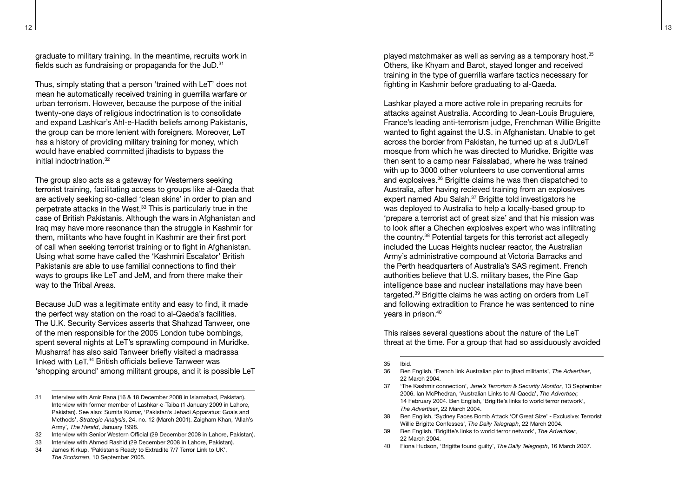graduate to military training. In the meantime, recruits work in fields such as fundraising or propaganda for the  $JUD$ .<sup>31</sup>

Thus, simply stating that a person 'trained with LeT' does not mean he automatically received training in guerrilla warfare or urban terrorism. However, because the purpose of the initial twenty-one days of religious indoctrination is to consolidate and expand Lashkar's Ahl-e-Hadith beliefs among Pakistanis, the group can be more lenient with foreigners. Moreover, LeT has a history of providing military training for money, which would have enabled committed jihadists to bypass the initial indoctrination 32

The group also acts as a gateway for Westerners seeking terrorist training, facilitating access to groups like al-Qaeda that are actively seeking so-called 'clean skins' in order to plan and perpetrate attacks in the West.33 This is particularly true in the case of British Pakistanis. Although the wars in Afghanistan and Iraq may have more resonance than the struggle in Kashmir for them, militants who have fought in Kashmir are their first port of call when seeking terrorist training or to fight in Afghanistan. Using what some have called the 'Kashmiri Escalator' British Pakistanis are able to use familial connections to find their ways to groups like LeT and JeM, and from there make their way to the Tribal Areas.

Because JuD was a legitimate entity and easy to find, it made the perfect way station on the road to al-Qaeda's facilities. The U.K. Security Services asserts that Shahzad Tanweer, one of the men responsible for the 2005 London tube bombings, spent several nights at LeT's sprawling compound in Muridke. Musharraf has also said Tanweer briefly visited a madrassa linked with LeT.<sup>34</sup> British officials believe Tanweer was 'shopping around' among militant groups, and it is possible LeT

- 32 Interview with Senior Western Official (29 December 2008 in Lahore, Pakistan).
- 33 Interview with Ahmed Rashid (29 December 2008 in Lahore, Pakistan).
- 34 James Kirkup, 'Pakistanis Ready to Extradite 7/7 Terror Link to UK', *The Scotsman*, 10 September 2005.

played matchmaker as well as serving as a temporary host.<sup>35</sup> Others, like Khyam and Barot, stayed longer and received training in the type of guerrilla warfare tactics necessary for fighting in Kashmir before graduating to al-Qaeda.

Lashkar played a more active role in preparing recruits for attacks against Australia. According to Jean-Louis Bruguiere, France's leading anti-terrorism judge, Frenchman Willie Brigitte wanted to fight against the U.S. in Afghanistan. Unable to get across the border from Pakistan, he turned up at a JuD/LeT mosque from which he was directed to Muridke. Brigitte was then sent to a camp near Faisalabad, where he was trained with up to 3000 other volunteers to use conventional arms and explosives.36 Brigitte claims he was then dispatched to Australia, after having recieved training from an explosives expert named Abu Salah.<sup>37</sup> Brigitte told investigators he was deployed to Australia to help a locally-based group to 'prepare a terrorist act of great size' and that his mission was to look after a Chechen explosives expert who was infiltrating the country.38 Potential targets for this terrorist act allegedly included the Lucas Heights nuclear reactor, the Australian Army's administrative compound at Victoria Barracks and the Perth headquarters of Australia's SAS regiment. French authorities believe that U.S. military bases, the Pine Gap intelligence base and nuclear installations may have been targeted.39 Brigitte claims he was acting on orders from LeT and following extradition to France he was sentenced to nine years in prison.40

This raises several questions about the nature of the LeT threat at the time. For a group that had so assiduously avoided

- 37 'The Kashmir connection', *Jane's Terrorism & Security Monitor*, 13 September 2006. Ian McPhedran, 'Australian Links to Al-Qaeda', *The Advertiser,* 14 February 2004. Ben English, 'Brigitte's links to world terror network', *The Advertiser*, 22 March 2004.
- 38 Ben English, 'Sydney Faces Bomb Attack 'Of Great Size' Exclusive: Terrorist Willie Brigitte Confesses', *The Daily Telegraph*, 22 March 2004.
- 39 Ben English, 'Brigitte's links to world terror network', *The Advertiser*, 22 March 2004.
- 40 Fiona Hudson, 'Brigitte found guilty', *The Daily Telegraph*, 16 March 2007.

<sup>31</sup> Interview with Amir Rana (16 & 18 December 2008 in Islamabad, Pakistan). Interview with former member of Lashkar-e-Taiba (1 January 2009 in Lahore, Pakistan). See also: Sumita Kumar, 'Pakistan's Jehadi Apparatus: Goals and Methods', *Strategic Analysis*, 24, no. 12 (March 2001). Zaigham Khan, 'Allah's Army', *The Herald*, January 1998.

<sup>35</sup> Ibid.

<sup>36</sup> Ben English, 'French link Australian plot to jihad militants', *The Advertiser*, 22 March 2004.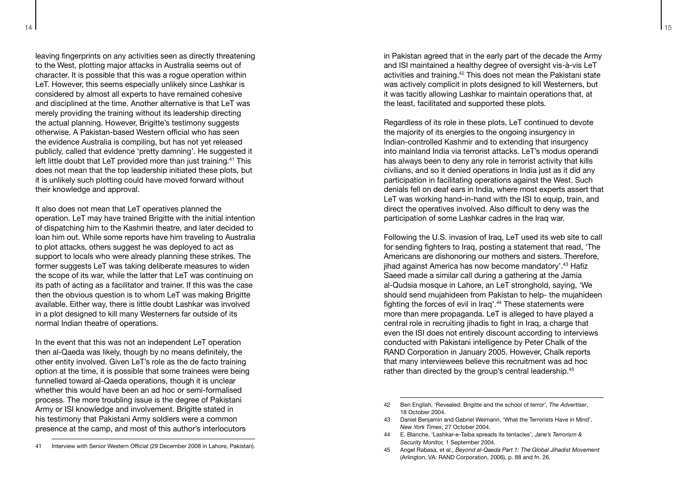14 **1 115** 

leaving fingerprints on any activities seen as directly threatening to the West, plotting major attacks in Australia seems out of character. It is possible that this was a rogue operation within LeT. However, this seems especially unlikely since Lashkar is considered by almost all experts to have remained cohesive and disciplined at the time. Another alternative is that LeT was merely providing the training without its leadership directing the actual planning. However, Brigitte's testimony suggests otherwise. A Pakistan-based Western official who has seen the evidence Australia is compiling, but has not yet released publicly, called that evidence 'pretty damning'. He suggested it left little doubt that LeT provided more than just training.<sup>41</sup> This does not mean that the top leadership initiated these plots, but it is unlikely such plotting could have moved forward without their knowledge and approval.

It also does not mean that LeT operatives planned the operation. LeT may have trained Brigitte with the initial intention of dispatching him to the Kashmiri theatre, and later decided to loan him out. While some reports have him traveling to Australia to plot attacks, others suggest he was deployed to act as support to locals who were already planning these strikes. The former suggests LeT was taking deliberate measures to widen the scope of its war, while the latter that LeT was continuing on its path of acting as a facilitator and trainer. If this was the case then the obvious question is to whom LeT was making Brigitte available. Either way, there is little doubt Lashkar was involved in a plot designed to kill many Westerners far outside of its normal Indian theatre of operations.

In the event that this was not an independent LeT operation then al-Qaeda was likely, though by no means definitely, the other entity involved. Given LeT's role as the de facto training option at the time, it is possible that some trainees were being funnelled toward al-Qaeda operations, though it is unclear whether this would have been an ad hoc or semi-formalised process. The more troubling issue is the degree of Pakistani Army or ISI knowledge and involvement. Brigitte stated in his testimony that Pakistani Army soldiers were a common presence at the camp, and most of this author's interlocutors

in Pakistan agreed that in the early part of the decade the Army and ISI maintained a healthy degree of oversight vis-à-vis LeT activities and training.42 This does not mean the Pakistani state was actively complicit in plots designed to kill Westerners, but it was tacitly allowing Lashkar to maintain operations that, at the least, facilitated and supported these plots.

Regardless of its role in these plots, LeT continued to devote the majority of its energies to the ongoing insurgency in Indian-controlled Kashmir and to extending that insurgency into mainland India via terrorist attacks. LeT's modus operandi has always been to deny any role in terrorist activity that kills civilians, and so it denied operations in India just as it did any participation in facilitating operations against the West. Such denials fell on deaf ears in India, where most experts assert that LeT was working hand-in-hand with the ISI to equip, train, and direct the operatives involved. Also difficult to deny was the participation of some Lashkar cadres in the Iraq war.

Following the U.S. invasion of Iraq, LeT used its web site to call for sending fighters to Iraq, posting a statement that read, 'The Americans are dishonoring our mothers and sisters. Therefore, jihad against America has now become mandatory'.<sup>43</sup> Hafiz Saeed made a similar call during a gathering at the Jamia al-Qudsia mosque in Lahore, an LeT stronghold, saying, 'We should send mujahideen from Pakistan to help- the mujahideen fighting the forces of evil in Iraq'.<sup>44</sup> These statements were more than mere propaganda. LeT is alleged to have played a central role in recruiting jihadis to fight in Iraq, a charge that even the ISI does not entirely discount according to interviews conducted with Pakistani intelligence by Peter Chalk of the RAND Corporation in January 2005. However, Chalk reports that many interviewees believe this recruitment was ad hoc rather than directed by the group's central leadership.<sup>45</sup>

- 44 E. Blanche, 'Lashkar-e-Taiba spreads its tentacles', *Jane's Terrorism & Security Monitor,* 1 September 2004.
- 45 Angel Rabasa, et al., *Beyond al-Qaeda Part 1: The Global Jihadist Movement* (Arlington, VA: RAND Corporation, 2006), p. 88 and fn. 26.

<sup>41</sup> Interview with Senior Western Official (29 December 2008 in Lahore, Pakistan).

<sup>42</sup> Ben English, 'Revealed: Brigitte and the school of terror', *The Advertiser*, 18 October 2004.

<sup>43</sup> Daniel Benjamin and Gabriel Weimann, 'What the Terrorists Have in Mind', *New York Times*, 27 October 2004.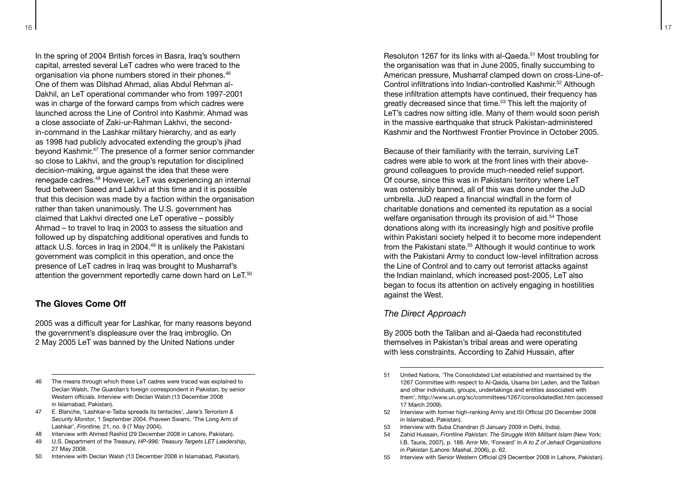In the spring of 2004 British forces in Basra, Iraq's southern capital, arrested several LeT cadres who were traced to the organisation via phone numbers stored in their phones.<sup>46</sup> One of them was Dilshad Ahmad, alias Abdul Rehman al-Dakhil, an LeT operational commander who from 1997-2001 was in charge of the forward camps from which cadres were launched across the Line of Control into Kashmir. Ahmad was a close associate of Zaki-ur-Rahman Lakhvi, the secondin-command in the Lashkar military hierarchy, and as early as 1998 had publicly advocated extending the group's jihad beyond Kashmir.47 The presence of a former senior commander so close to Lakhvi, and the group's reputation for disciplined decision-making, argue against the idea that these were renegade cadres.48 However, LeT was experiencing an internal feud between Saeed and Lakhvi at this time and it is possible that this decision was made by a faction within the organisation rather than taken unanimously. The U.S. government has claimed that Lakhvi directed one LeT operative – possibly Ahmad – to travel to Iraq in 2003 to assess the situation and followed up by dispatching additional operatives and funds to attack U.S. forces in Iraq in 2004.49 It is unlikely the Pakistani government was complicit in this operation, and once the presence of LeT cadres in Iraq was brought to Musharraf's attention the government reportedly came down hard on LeT.<sup>50</sup>

#### **The Gloves Come Off**

2005 was a difficult year for Lashkar, for many reasons beyond the government's displeasure over the Iraq imbroglio. On 2 May 2005 LeT was banned by the United Nations under

- 46 The means through which these LeT cadres were traced was explained to Declan Walsh, *The Guardian's* foreign correspondent in Pakistan, by senior Western officials. Interview with Declan Walsh (13 December 2008 in Islamabad, Pakistan).
- 47 E. Blanche, 'Lashkar-e-Taiba spreads its tentacles', *Jane's Terrorism & Security Monitor*, 1 September 2004. Praveen Swami, 'The Long Arm of Lashkar', *Frontline,* 21, no. 9 (7 May 2004).
- 48 Interview with Ahmed Rashid (29 December 2008 in Lahore, Pakistan).
- 49 U.S. Department of the Treasury, *HP-996: Treasury Targets LET Leadership*, 27 May 2008.
- 50 Interview with Declan Walsh (13 December 2008 in Islamabad, Pakistan).

Resoluton 1267 for its links with al-Qaeda.51 Most troubling for the organisation was that in June 2005, finally succumbing to American pressure, Musharraf clamped down on cross-Line-of-Control infiltrations into Indian-controlled Kashmir.<sup>52</sup> Although these infiltration attempts have continued, their frequency has greatly decreased since that time.53 This left the majority of LeT's cadres now sitting idle. Many of them would soon perish in the massive earthquake that struck Pakistan-administered Kashmir and the Northwest Frontier Province in October 2005.

Because of their familiarity with the terrain, surviving LeT cadres were able to work at the front lines with their aboveground colleagues to provide much-needed relief support. Of course, since this was in Pakistani territory where LeT was ostensibly banned, all of this was done under the JuD umbrella. JuD reaped a financial windfall in the form of charitable donations and cemented its reputation as a social welfare organisation through its provision of aid.<sup>54</sup> Those donations along with its increasingly high and positive profile within Pakistani society helped it to become more independent from the Pakistani state.<sup>55</sup> Although it would continue to work with the Pakistani Army to conduct low-level infiltration across the Line of Control and to carry out terrorist attacks against the Indian mainland, which increased post-2005, LeT also began to focus its attention on actively engaging in hostilities against the West.

#### *The Direct Approach*

By 2005 both the Taliban and al-Qaeda had reconstituted themselves in Pakistan's tribal areas and were operating with less constraints. According to Zahid Hussain, after

- 52 Interview with former high-ranking Army and ISI Official (20 December 2008 in Islamabad, Pakistan).
- 53 Interview with Suba Chandran (5 January 2009 in Delhi, India).
- 54 Zahid Hussain, *Frontline Pakistan: The Struggle With Militant Islam* (New York: I.B. Tauris, 2007), p. 188. Amir Mir, 'Forward' in *A to Z of Jehadi Organizations in Pakistan* (Lahore: Mashal, 2006), p. 62.
- 55 Interview with Senior Western Official (29 December 2008 in Lahore, Pakistan).

<sup>51</sup> United Nations, 'The Consolidated List established and maintained by the 1267 Committee with respect to Al-Qaida, Usama bin Laden, and the Taliban and other individuals, groups, undertakings and entities associated with them', http://www.un.org/sc/committees/1267/consolidatedlist.htm (accessed 17 March 2009).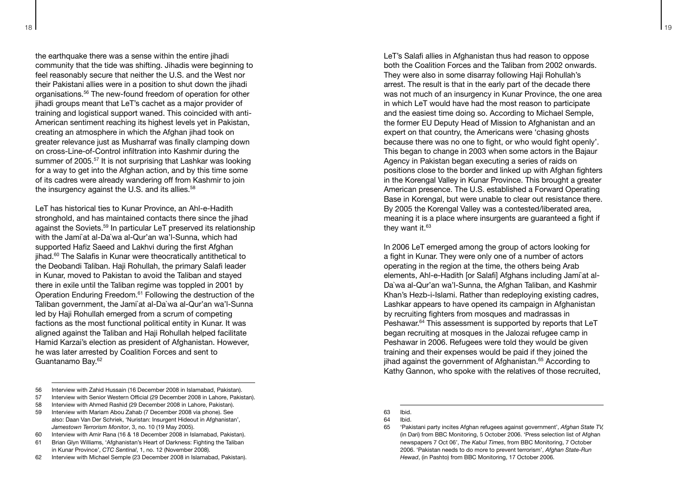18 19

the earthquake there was a sense within the entire jihadi community that the tide was shifting. Jihadis were beginning to feel reasonably secure that neither the U.S. and the West nor their Pakistani allies were in a position to shut down the jihadi organisations.56 The new-found freedom of operation for other jihadi groups meant that LeT's cachet as a major provider of training and logistical support waned. This coincided with anti-American sentiment reaching its highest levels yet in Pakistan, creating an atmosphere in which the Afghan jihad took on greater relevance just as Musharraf was finally clamping down on cross-Line-of-Control infiltration into Kashmir during the summer of 2005.<sup>57</sup> It is not surprising that Lashkar was looking for a way to get into the Afghan action, and by this time some of its cadres were already wandering off from Kashmir to join the insurgency against the U.S. and its allies.<sup>58</sup>

LeT has historical ties to Kunar Province, an Ahl-e-Hadith stronghold, and has maintained contacts there since the jihad against the Soviets.59 In particular LeT preserved its relationship with the Jami`at al-Da`wa al-Qur'an wa'l-Sunna, which had supported Hafiz Saeed and Lakhvi during the first Afghan jihad.<sup>60</sup> The Salafis in Kunar were theocratically antithetical to the Deobandi Taliban. Haji Rohullah, the primary Salafi leader in Kunar, moved to Pakistan to avoid the Taliban and stayed there in exile until the Taliban regime was toppled in 2001 by Operation Enduring Freedom.61 Following the destruction of the Taliban government, the Jami`at al-Da`wa al-Qur'an wa'l-Sunna led by Haji Rohullah emerged from a scrum of competing factions as the most functional political entity in Kunar. It was aligned against the Taliban and Haji Rohullah helped facilitate Hamid Karzai's election as president of Afghanistan. However, he was later arrested by Coalition Forces and sent to Guantanamo Bay.62

- 56 Interview with Zahid Hussain (16 December 2008 in Islamabad, Pakistan).
- 57 Interview with Senior Western Official (29 December 2008 in Lahore, Pakistan).
- 58 Interview with Ahmed Rashid (29 December 2008 in Lahore, Pakistan).
- 59 Interview with Mariam Abou Zahab (7 December 2008 via phone). See also: Daan Van Der Schriek, 'Nuristan: Insurgent Hideout in Afghanistan', *Jamestown Terrorism Monitor*, 3, no. 10 (19 May 2005).
- 60 Interview with Amir Rana (16 & 18 December 2008 in Islamabad, Pakistan).
- 61 Brian Glyn Williams, 'Afghanistan's Heart of Darkness: Fighting the Taliban in Kunar Province', *CTC Sentinal*, 1, no. 12 (November 2008).
- 62 Interview with Michael Semple (23 December 2008 in Islamabad, Pakistan).

LeT's Salafi allies in Afghanistan thus had reason to oppose both the Coalition Forces and the Taliban from 2002 onwards. They were also in some disarray following Haji Rohullah's arrest. The result is that in the early part of the decade there was not much of an insurgency in Kunar Province, the one area in which LeT would have had the most reason to participate and the easiest time doing so. According to Michael Semple, the former EU Deputy Head of Mission to Afghanistan and an expert on that country, the Americans were 'chasing ghosts because there was no one to fight, or who would fight openly'. This began to change in 2003 when some actors in the Bajaur Agency in Pakistan began executing a series of raids on positions close to the border and linked up with Afghan fighters in the Korengal Valley in Kunar Province. This brought a greater American presence. The U.S. established a Forward Operating Base in Korengal, but were unable to clear out resistance there. By 2005 the Korengal Valley was a contested/liberated area, meaning it is a place where insurgents are guaranteed a fight if they want it.<sup>63</sup>

In 2006 LeT emerged among the group of actors looking for a fight in Kunar. They were only one of a number of actors operating in the region at the time, the others being Arab elements, Ahl-e-Hadith [or Salafi] Afghans including Jami`at al-Da`wa al-Qur'an wa'l-Sunna, the Afghan Taliban, and Kashmir Khan's Hezb-i-Islami. Rather than redeploying existing cadres, Lashkar appears to have opened its campaign in Afghanistan by recruiting fighters from mosques and madrassas in Peshawar.<sup>64</sup> This assessment is supported by reports that LeT began recruiting at mosques in the Jalozai refugee camp in Peshawar in 2006. Refugees were told they would be given training and their expenses would be paid if they joined the jihad against the government of Afghanistan.<sup>65</sup> According to Kathy Gannon, who spoke with the relatives of those recruited,

<sup>63</sup> Ibid.<br>64 Ibid.

<sup>64</sup> Ibid.

<sup>65</sup> 'Pakistani party incites Afghan refugees against government', *Afghan State TV,* (in Dari) from BBC Monitoring, 5 October 2006. 'Press selection list of Afghan newspapers 7 Oct 06', *The Kabul Times*, from BBC Monitoring, 7 October 2006. 'Pakistan needs to do more to prevent terrorism', *Afghan State-Run Hewad*, (in Pashto) from BBC Monitoring, 17 October 2006.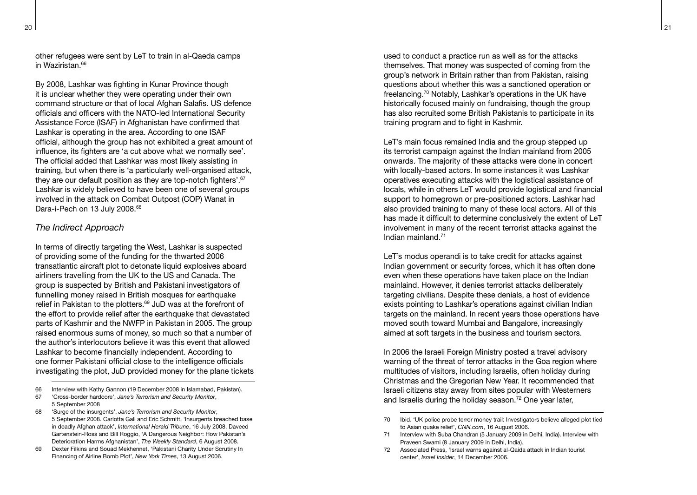other refugees were sent by LeT to train in al-Qaeda camps in Waziristan.<sup>66</sup>

By 2008, Lashkar was fighting in Kunar Province though it is unclear whether they were operating under their own command structure or that of local Afghan Salafis. US defence officials and officers with the NATO-led International Security Assistance Force (ISAF) in Afghanistan have confirmed that Lashkar is operating in the area. According to one ISAF official, although the group has not exhibited a great amount of influence, its fighters are 'a cut above what we normally see'. The official added that Lashkar was most likely assisting in training, but when there is 'a particularly well-organised attack, they are our default position as they are top-notch fighters'.<sup>67</sup> Lashkar is widely believed to have been one of several groups involved in the attack on Combat Outpost (COP) Wanat in Dara-i-Pech on 13 July 2008.<sup>68</sup>

#### *The Indirect Approach*

In terms of directly targeting the West, Lashkar is suspected of providing some of the funding for the thwarted 2006 transatlantic aircraft plot to detonate liquid explosives aboard airliners travelling from the UK to the US and Canada. The group is suspected by British and Pakistani investigators of funnelling money raised in British mosques for earthquake relief in Pakistan to the plotters.<sup>69</sup> JuD was at the forefront of the effort to provide relief after the earthquake that devastated parts of Kashmir and the NWFP in Pakistan in 2005. The group raised enormous sums of money, so much so that a number of the author's interlocutors believe it was this event that allowed Lashkar to become financially independent. According to one former Pakistani official close to the intelligence officials investigating the plot, JuD provided money for the plane tickets

- 66 Interview with Kathy Gannon (19 December 2008 in Islamabad, Pakistan).
- 67 'Cross-border hardcore', *Jane's Terrorism and Security Monitor*, 5 September 2008
- 68 'Surge of the insurgents', *Jane's Terrorism and Security Monitor*, 5 September 2008. Carlotta Gall and Eric Schmitt, 'Insurgents breached base in deadly Afghan attack', *International Herald Tribune*, 16 July 2008. Daveed Gartenstein-Ross and Bill Roggio, 'A Dangerous Neighbor: How Pakistan's Deterioration Harms Afghanistan', *The Weekly Standard*, 6 August 2008.
- 69 Dexter Filkins and Souad Mekhennet, 'Pakistani Charity Under Scrutiny In Financing of Airline Bomb Plot', *New York Times*, 13 August 2006.

used to conduct a practice run as well as for the attacks themselves. That money was suspected of coming from the group's network in Britain rather than from Pakistan, raising questions about whether this was a sanctioned operation or freelancing.70 Notably, Lashkar's operations in the UK have historically focused mainly on fundraising, though the group has also recruited some British Pakistanis to participate in its training program and to fight in Kashmir.

LeT's main focus remained India and the group stepped up its terrorist campaign against the Indian mainland from 2005 onwards. The majority of these attacks were done in concert with locally-based actors. In some instances it was Lashkar operatives executing attacks with the logistical assistance of locals, while in others LeT would provide logistical and financial support to homegrown or pre-positioned actors. Lashkar had also provided training to many of these local actors. All of this has made it difficult to determine conclusively the extent of LeT involvement in many of the recent terrorist attacks against the Indian mainland.71

LeT's modus operandi is to take credit for attacks against Indian government or security forces, which it has often done even when these operations have taken place on the Indian mainlaind. However, it denies terrorist attacks deliberately targeting civilians. Despite these denials, a host of evidence exists pointing to Lashkar's operations against civilian Indian targets on the mainland. In recent years those operations have moved south toward Mumbai and Bangalore, increasingly aimed at soft targets in the business and tourism sectors.

In 2006 the Israeli Foreign Ministry posted a travel advisory warning of the threat of terror attacks in the Goa region where multitudes of visitors, including Israelis, often holiday during Christmas and the Gregorian New Year. It recommended that Israeli citizens stay away from sites popular with Westerners and Israelis during the holiday season.<sup>72</sup> One year later,

- 71 Interview with Suba Chandran (5 January 2009 in Delhi, India). Interview with Praveen Swami (8 January 2009 in Delhi, India).
- 72 Associated Press, 'Israel warns against al-Qaida attack in Indian tourist center', *Israel Insider*, 14 December 2006.

<sup>70</sup> Ibid. 'UK police probe terror money trail: Investigators believe alleged plot tied to Asian quake relief', *CNN.com*, 16 August 2006.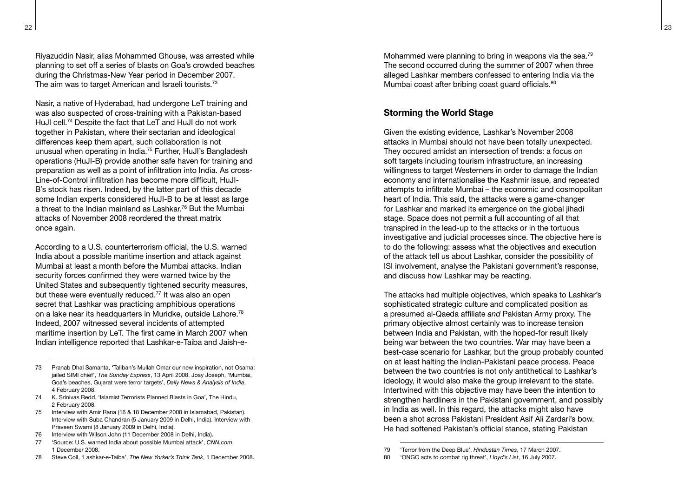Riyazuddin Nasir, alias Mohammed Ghouse, was arrested while planning to set off a series of blasts on Goa's crowded beaches during the Christmas-New Year period in December 2007. The aim was to target American and Israeli tourists.<sup>73</sup>

Nasir, a native of Hyderabad, had undergone LeT training and was also suspected of cross-training with a Pakistan-based HuJI cell.74 Despite the fact that LeT and HuJI do not work together in Pakistan, where their sectarian and ideological differences keep them apart, such collaboration is not unusual when operating in India.75 Further, HuJI's Bangladesh operations (HuJI-B) provide another safe haven for training and preparation as well as a point of infiltration into India. As cross-Line-of-Control infiltration has become more difficult, HuJI-B's stock has risen. Indeed, by the latter part of this decade some Indian experts considered HuJI-B to be at least as large a threat to the Indian mainland as Lashkar.76 But the Mumbai attacks of November 2008 reordered the threat matrix once again.

According to a U.S. counterterrorism official, the U.S. warned India about a possible maritime insertion and attack against Mumbai at least a month before the Mumbai attacks. Indian security forces confirmed they were warned twice by the United States and subsequently tightened security measures, but these were eventually reduced.<sup>77</sup> It was also an open secret that Lashkar was practicing amphibious operations on a lake near its headquarters in Muridke, outside Lahore.<sup>78</sup> Indeed, 2007 witnessed several incidents of attempted maritime insertion by LeT. The first came in March 2007 when Indian intelligence reported that Lashkar-e-Taiba and Jaish-e-

- 73 Pranab Dhal Samanta, 'Taliban's Mullah Omar our new inspiration, not Osama: jailed SIMI chief', *The Sunday Express*, 13 April 2008. Josy Joseph, 'Mumbai, Goa's beaches, Gujarat were terror targets', *Daily News & Analysis of India*, 4 February 2008.
- 74 K. Srinivas Redd, 'Islamist Terrorists Planned Blasts in Goa', The Hindu, 2 February 2008.
- 75 Interview with Amir Rana (16 & 18 December 2008 in Islamabad, Pakistan). Interview with Suba Chandran (5 January 2009 in Delhi, India). Interview with Praveen Swami (8 January 2009 in Delhi, India).
- 76 Interview with Wilson John (11 December 2008 in Delhi, India).
- 77 'Source: U.S. warned India about possible Mumbai attack', *CNN.com*, 1 December 2008.
- 78 Steve Coll, 'Lashkar-e-Taiba', *The New Yorker's Think Tank*, 1 December 2008.

Mohammed were planning to bring in weapons via the sea.<sup>79</sup> The second occurred during the summer of 2007 when three alleged Lashkar members confessed to entering India via the Mumbai coast after bribing coast guard officials.<sup>80</sup>

#### **Storming the World Stage**

Given the existing evidence, Lashkar's November 2008 attacks in Mumbai should not have been totally unexpected. They occured amidst an intersection of trends: a focus on soft targets including tourism infrastructure, an increasing willingness to target Westerners in order to damage the Indian economy and internationalise the Kashmir issue, and repeated attempts to infiltrate Mumbai – the economic and cosmopolitan heart of India. This said, the attacks were a game-changer for Lashkar and marked its emergence on the global jihadi stage. Space does not permit a full accounting of all that transpired in the lead-up to the attacks or in the tortuous investigative and judicial processes since. The objective here is to do the following: assess what the objectives and execution of the attack tell us about Lashkar, consider the possibility of ISI involvement, analyse the Pakistani government's response, and discuss how Lashkar may be reacting.

The attacks had multiple objectives, which speaks to Lashkar's sophisticated strategic culture and complicated position as a presumed al-Qaeda affiliate *and* Pakistan Army proxy. The primary objective almost certainly was to increase tension between India and Pakistan, with the hoped-for result likely being war between the two countries. War may have been a best-case scenario for Lashkar, but the group probably counted on at least halting the Indian-Pakistani peace process. Peace between the two countries is not only antithetical to Lashkar's ideology, it would also make the group irrelevant to the state. Intertwined with this objective may have been the intention to strengthen hardliners in the Pakistani government, and possibly in India as well. In this regard, the attacks might also have been a shot across Pakistani President Asif Ali Zardari's bow. He had softened Pakistan's official stance, stating Pakistan

<sup>79</sup> 'Terror from the Deep Blue', *Hindustan Times*, 17 March 2007.

<sup>80</sup> 'ONGC acts to combat rig threat', *Lloyd's List*, 16 July 2007.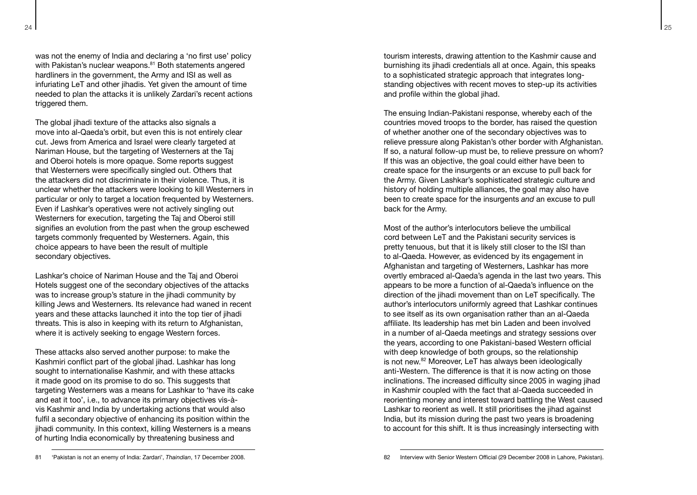was not the enemy of India and declaring a 'no first use' policy with Pakistan's nuclear weapons.<sup>81</sup> Both statements angered hardliners in the government, the Army and ISI as well as

infuriating LeT and other jihadis. Yet given the amount of time needed to plan the attacks it is unlikely Zardari's recent actions triggered them.

The global jihadi texture of the attacks also signals a move into al-Qaeda's orbit, but even this is not entirely clear cut. Jews from America and Israel were clearly targeted at Nariman House, but the targeting of Westerners at the Taj and Oberoi hotels is more opaque. Some reports suggest that Westerners were specifically singled out. Others that the attackers did not discriminate in their violence. Thus, it is unclear whether the attackers were looking to kill Westerners in particular or only to target a location frequented by Westerners. Even if Lashkar's operatives were not actively singling out Westerners for execution, targeting the Taj and Oberoi still signifies an evolution from the past when the group eschewed targets commonly frequented by Westerners. Again, this choice appears to have been the result of multiple secondary objectives.

Lashkar's choice of Nariman House and the Taj and Oberoi Hotels suggest one of the secondary objectives of the attacks was to increase group's stature in the jihadi community by killing Jews and Westerners. Its relevance had waned in recent years and these attacks launched it into the top tier of jihadi threats. This is also in keeping with its return to Afghanistan, where it is actively seeking to engage Western forces.

These attacks also served another purpose: to make the Kashmiri conflict part of the global jihad. Lashkar has long sought to internationalise Kashmir, and with these attacks it made good on its promise to do so. This suggests that targeting Westerners was a means for Lashkar to 'have its cake and eat it too', i.e., to advance its primary objectives vis-àvis Kashmir and India by undertaking actions that would also fulfil a secondary objective of enhancing its position within the jihadi community. In this context, killing Westerners is a means of hurting India economically by threatening business and

tourism interests, drawing attention to the Kashmir cause and burnishing its jihadi credentials all at once. Again, this speaks to a sophisticated strategic approach that integrates longstanding objectives with recent moves to step-up its activities and profile within the global jihad.

The ensuing Indian-Pakistani response, whereby each of the countries moved troops to the border, has raised the question of whether another one of the secondary objectives was to relieve pressure along Pakistan's other border with Afghanistan. If so, a natural follow-up must be, to relieve pressure on whom? If this was an objective, the goal could either have been to create space for the insurgents or an excuse to pull back for the Army. Given Lashkar's sophisticated strategic culture and history of holding multiple alliances, the goal may also have been to create space for the insurgents *and* an excuse to pull back for the Army.

Most of the author's interlocutors believe the umbilical cord between LeT and the Pakistani security services is pretty tenuous, but that it is likely still closer to the ISI than to al-Qaeda. However, as evidenced by its engagement in Afghanistan and targeting of Westerners, Lashkar has more overtly embraced al-Qaeda's agenda in the last two years. This appears to be more a function of al-Qaeda's influence on the direction of the jihadi movement than on LeT specifically. The author's interlocutors uniformly agreed that Lashkar continues to see itself as its own organisation rather than an al-Qaeda affiliate. Its leadership has met bin Laden and been involved in a number of al-Qaeda meetings and strategy sessions over the years, according to one Pakistani-based Western official with deep knowledge of both groups, so the relationship is not new.82 Moreover, LeT has always been ideologically anti-Western. The difference is that it is now acting on those inclinations. The increased difficulty since 2005 in waging jihad in Kashmir coupled with the fact that al-Qaeda succeeded in reorienting money and interest toward battling the West caused Lashkar to reorient as well. It still prioritises the jihad against India, but its mission during the past two years is broadening to account for this shift. It is thus increasingly intersecting with

<sup>24</sup> 25

<sup>81</sup> 'Pakistan is not an enemy of India: Zardari', *Thaindian*, 17 December 2008.

<sup>82</sup> Interview with Senior Western Official (29 December 2008 in Lahore, Pakistan).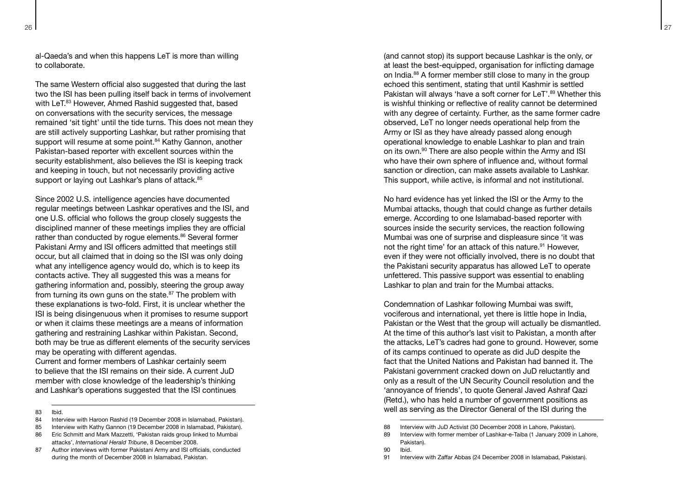al-Qaeda's and when this happens LeT is more than willing to collaborate.

The same Western official also suggested that during the last two the ISI has been pulling itself back in terms of involvement with LeT.<sup>83</sup> However, Ahmed Rashid suggested that, based on conversations with the security services, the message remained 'sit tight' until the tide turns. This does not mean they are still actively supporting Lashkar, but rather promising that support will resume at some point.<sup>84</sup> Kathy Gannon, another Pakistan-based reporter with excellent sources within the security establishment, also believes the ISI is keeping track and keeping in touch, but not necessarily providing active support or laying out Lashkar's plans of attack.<sup>85</sup>

Since 2002 U.S. intelligence agencies have documented regular meetings between Lashkar operatives and the ISI, and one U.S. official who follows the group closely suggests the disciplined manner of these meetings implies they are official rather than conducted by rogue elements.<sup>86</sup> Several former Pakistani Army and ISI officers admitted that meetings still occur, but all claimed that in doing so the ISI was only doing what any intelligence agency would do, which is to keep its contacts active. They all suggested this was a means for gathering information and, possibly, steering the group away from turning its own guns on the state.<sup>87</sup> The problem with these explanations is two-fold. First, it is unclear whether the ISI is being disingenuous when it promises to resume support or when it claims these meetings are a means of information gathering and restraining Lashkar within Pakistan. Second, both may be true as different elements of the security services may be operating with different agendas.

Current and former members of Lashkar certainly seem to believe that the ISI remains on their side. A current JuD member with close knowledge of the leadership's thinking and Lashkar's operations suggested that the ISI continues

83 Ibid.

- 84 Interview with Haroon Rashid (19 December 2008 in Islamabad, Pakistan).
- 85 Interview with Kathy Gannon (19 December 2008 in Islamabad, Pakistan).
- 86 Eric Schmitt and Mark Mazzetti, 'Pakistan raids group linked to Mumbai attacks', *International Herald Tribune*, 8 December 2008.
- 87 Author interviews with former Pakistani Army and ISI officials, conducted during the month of December 2008 in Islamabad, Pakistan.

(and cannot stop) its support because Lashkar is the only, or at least the best-equipped, organisation for inflicting damage on India.88 A former member still close to many in the group echoed this sentiment, stating that until Kashmir is settled Pakistan will always 'have a soft corner for LeT'.<sup>89</sup> Whether this is wishful thinking or reflective of reality cannot be determined with any degree of certainty. Further, as the same former cadre observed, LeT no longer needs operational help from the Army or ISI as they have already passed along enough operational knowledge to enable Lashkar to plan and train on its own.90 There are also people within the Army and ISI who have their own sphere of influence and, without formal sanction or direction, can make assets available to Lashkar. This support, while active, is informal and not institutional.

No hard evidence has yet linked the ISI or the Army to the Mumbai attacks, though that could change as further details emerge. According to one Islamabad-based reporter with sources inside the security services, the reaction following Mumbai was one of surprise and displeasure since 'it was not the right time' for an attack of this nature.<sup>91</sup> However, even if they were not officially involved, there is no doubt that the Pakistani security apparatus has allowed LeT to operate unfettered. This passive support was essential to enabling Lashkar to plan and train for the Mumbai attacks.

Condemnation of Lashkar following Mumbai was swift, vociferous and international, yet there is little hope in India, Pakistan or the West that the group will actually be dismantled. At the time of this author's last visit to Pakistan, a month after the attacks, LeT's cadres had gone to ground. However, some of its camps continued to operate as did JuD despite the fact that the United Nations and Pakistan had banned it. The Pakistani government cracked down on JuD reluctantly and only as a result of the UN Security Council resolution and the 'annoyance of friends', to quote General Javed Ashraf Qazi (Retd.), who has held a number of government positions as well as serving as the Director General of the ISI during the

90 Ibid.

<sup>88</sup> Interview with JuD Activist (30 December 2008 in Lahore, Pakistan).

<sup>89</sup> Interview with former member of Lashkar-e-Taiba (1 January 2009 in Lahore, Pakistan).

<sup>91</sup> Interview with Zaffar Abbas (24 December 2008 in Islamabad, Pakistan).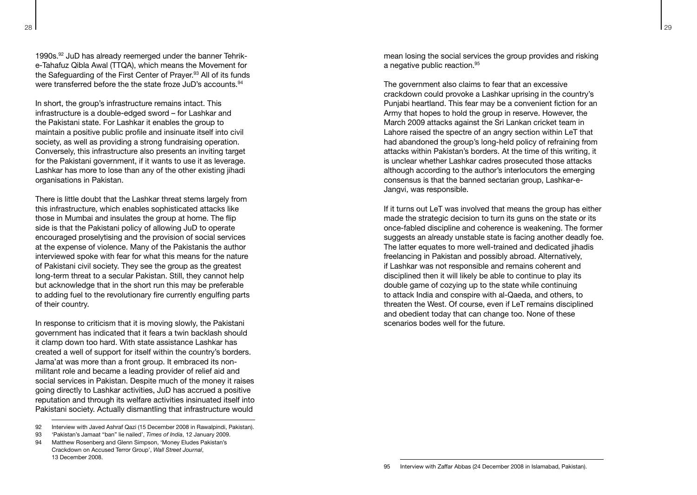1990s.92 JuD has already reemerged under the banner Tehrike-Tahafuz Qibla Awal (TTQA), which means the Movement for the Safeguarding of the First Center of Prayer.<sup>93</sup> All of its funds were transferred before the the state froze JuD's accounts.<sup>94</sup>

In short, the group's infrastructure remains intact. This infrastructure is a double-edged sword – for Lashkar and the Pakistani state. For Lashkar it enables the group to maintain a positive public profile and insinuate itself into civil society, as well as providing a strong fundraising operation. Conversely, this infrastructure also presents an inviting target for the Pakistani government, if it wants to use it as leverage. Lashkar has more to lose than any of the other existing jihadi organisations in Pakistan.

There is little doubt that the Lashkar threat stems largely from this infrastructure, which enables sophisticated attacks like those in Mumbai and insulates the group at home. The flip side is that the Pakistani policy of allowing JuD to operate encouraged proselytising and the provision of social services at the expense of violence. Many of the Pakistanis the author interviewed spoke with fear for what this means for the nature of Pakistani civil society. They see the group as the greatest long-term threat to a secular Pakistan. Still, they cannot help but acknowledge that in the short run this may be preferable to adding fuel to the revolutionary fire currently engulfing parts of their country.

In response to criticism that it is moving slowly, the Pakistani government has indicated that it fears a twin backlash should it clamp down too hard. With state assistance Lashkar has created a well of support for itself within the country's borders. Jama'at was more than a front group. It embraced its nonmilitant role and became a leading provider of relief aid and social services in Pakistan. Despite much of the money it raises going directly to Lashkar activities, JuD has accrued a positive reputation and through its welfare activities insinuated itself into Pakistani society. Actually dismantling that infrastructure would

- 92 Interview with Javed Ashraf Qazi (15 December 2008 in Rawalpindi, Pakistan).
- 93 'Pakistan's Jamaat "ban" lie nailed', *Times of India*, 12 January 2009.

mean losing the social services the group provides and risking a negative public reaction.<sup>95</sup>

The government also claims to fear that an excessive crackdown could provoke a Lashkar uprising in the country's Punjabi heartland. This fear may be a convenient fiction for an Army that hopes to hold the group in reserve. However, the March 2009 attacks against the Sri Lankan cricket team in Lahore raised the spectre of an angry section within LeT that had abandoned the group's long-held policy of refraining from attacks within Pakistan's borders. At the time of this writing, it is unclear whether Lashkar cadres prosecuted those attacks although according to the author's interlocutors the emerging consensus is that the banned sectarian group, Lashkar-e-Jangvi, was responsible.

If it turns out LeT was involved that means the group has either made the strategic decision to turn its guns on the state or its once-fabled discipline and coherence is weakening. The former suggests an already unstable state is facing another deadly foe. The latter equates to more well-trained and dedicated jihadis freelancing in Pakistan and possibly abroad. Alternatively, if Lashkar was not responsible and remains coherent and disciplined then it will likely be able to continue to play its double game of cozying up to the state while continuing to attack India and conspire with al-Qaeda, and others, to threaten the West. Of course, even if LeT remains disciplined and obedient today that can change too. None of these scenarios bodes well for the future.

95 Interview with Zaffar Abbas (24 December 2008 in Islamabad, Pakistan).

<sup>94</sup> Matthew Rosenberg and Glenn Simpson, 'Money Fludes Pakistan's Crackdown on Accused Terror Group', *Wall Street Journal*, 13 December 2008.